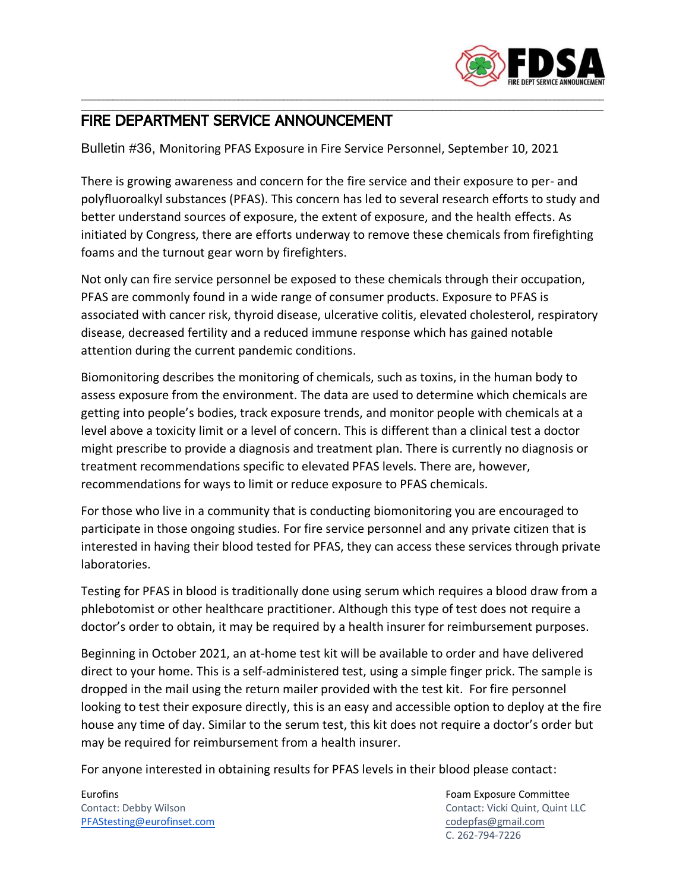

## \_\_\_\_\_\_\_\_\_\_\_\_\_\_\_\_\_\_\_\_\_\_\_\_\_\_\_\_\_\_\_\_\_\_\_\_\_\_\_\_\_\_\_\_\_\_\_\_\_\_\_\_\_\_\_\_\_\_\_\_\_\_\_\_\_\_\_\_\_\_\_\_\_\_\_\_\_\_\_\_\_\_\_\_\_\_\_\_\_\_\_\_\_\_\_\_\_\_\_\_\_\_\_\_\_\_\_\_\_\_\_\_\_\_\_\_ FIRE DEPARTMENT SERVICE ANNOUNCEMENT

Bulletin #36, Monitoring PFAS Exposure in Fire Service Personnel, September 10, 2021

There is growing awareness and concern for the fire service and their exposure to per- and polyfluoroalkyl substances (PFAS). This concern has led to several research efforts to study and better understand sources of exposure, the extent of exposure, and the health effects. As initiated by Congress, there are efforts underway to remove these chemicals from firefighting foams and the turnout gear worn by firefighters.

\_\_\_\_\_\_\_\_\_\_\_\_\_\_\_\_\_\_\_\_\_\_\_\_\_\_\_\_\_\_\_\_\_\_\_\_\_\_\_\_\_\_\_\_\_\_\_\_\_\_\_\_\_\_\_\_\_\_\_\_\_\_\_\_\_\_\_\_\_\_\_\_\_\_\_\_\_\_\_\_\_\_\_\_\_\_\_\_\_\_\_\_\_\_\_\_\_\_\_\_\_\_\_\_\_\_\_\_\_\_\_\_\_\_\_\_

Not only can fire service personnel be exposed to these chemicals through their occupation, PFAS are commonly found in a wide range of consumer products. Exposure to PFAS is associated with cancer risk, thyroid disease, ulcerative colitis, elevated cholesterol, respiratory disease, decreased fertility and a reduced immune response which has gained notable attention during the current pandemic conditions.

Biomonitoring describes the monitoring of chemicals, such as toxins, in the human body to assess exposure from the environment. The data are used to determine which chemicals are getting into people's bodies, track exposure trends, and monitor people with chemicals at a level above a toxicity limit or a level of concern. This is different than a clinical test a doctor might prescribe to provide a diagnosis and treatment plan. There is currently no diagnosis or treatment recommendations specific to elevated PFAS levels. There are, however, recommendations for ways to limit or reduce exposure to PFAS chemicals.

For those who live in a community that is conducting biomonitoring you are encouraged to participate in those ongoing studies. For fire service personnel and any private citizen that is interested in having their blood tested for PFAS, they can access these services through private laboratories.

Testing for PFAS in blood is traditionally done using serum which requires a blood draw from a phlebotomist or other healthcare practitioner. Although this type of test does not require a doctor's order to obtain, it may be required by a health insurer for reimbursement purposes.

Beginning in October 2021, an at-home test kit will be available to order and have delivered direct to your home. This is a self-administered test, using a simple finger prick. The sample is dropped in the mail using the return mailer provided with the test kit. For fire personnel looking to test their exposure directly, this is an easy and accessible option to deploy at the fire house any time of day. Similar to the serum test, this kit does not require a doctor's order but may be required for reimbursement from a health insurer.

For anyone interested in obtaining results for PFAS levels in their blood please contact:

Eurofins Foam Exposure Committee [PFAStesting@eurofinset.com](mailto:PFAStesting@eurofinset.com) [codepfas@gmail.com](mailto:codepfas@gmail.com)

Contact: Debby Wilson Contact: Vicki Quint, Quint LLC C. 262-794-7226